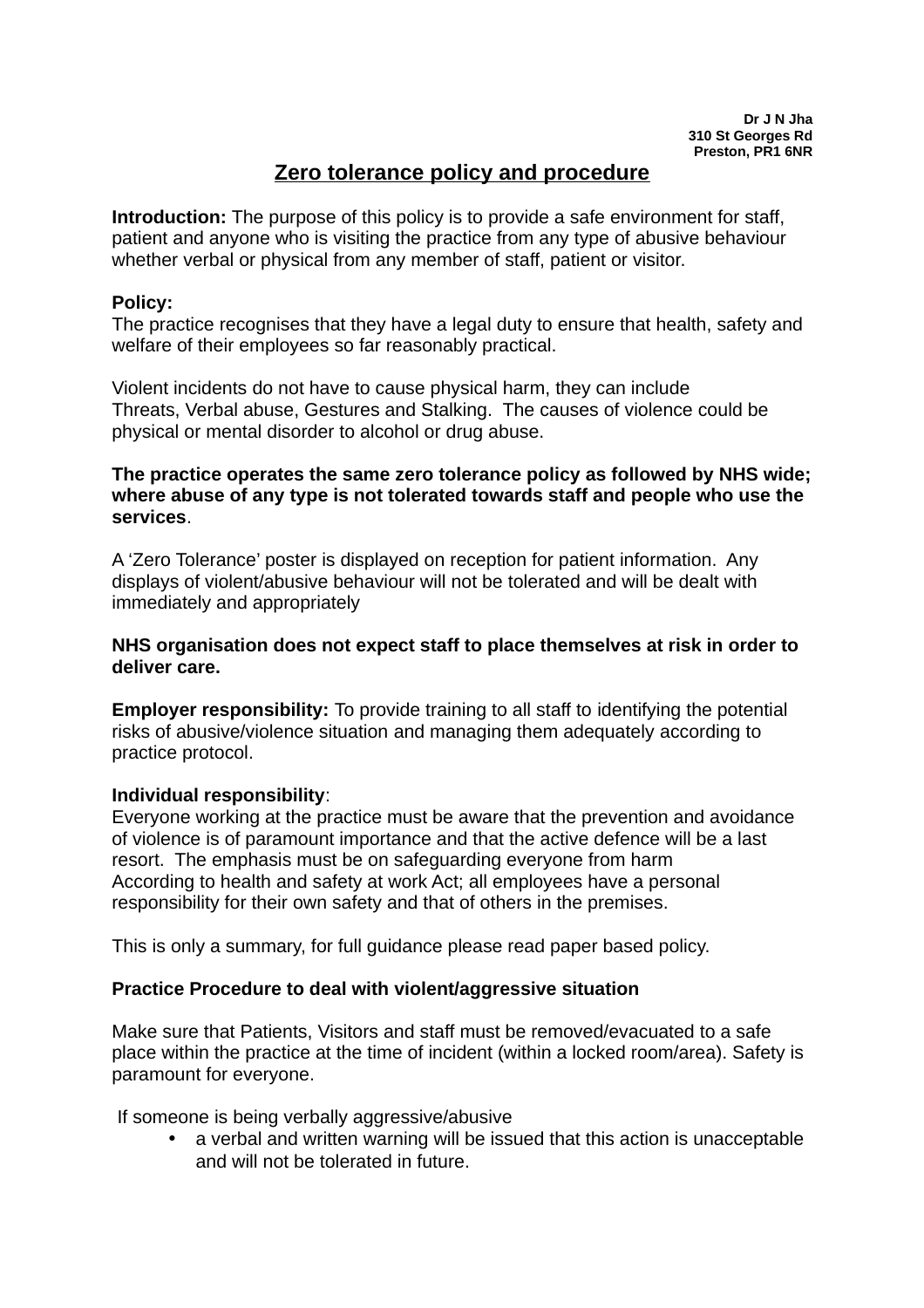# **Zero tolerance policy and procedure**

**Introduction:** The purpose of this policy is to provide a safe environment for staff, patient and anyone who is visiting the practice from any type of abusive behaviour whether verbal or physical from any member of staff, patient or visitor.

## **Policy:**

The practice recognises that they have a legal duty to ensure that health, safety and welfare of their employees so far reasonably practical.

Violent incidents do not have to cause physical harm, they can include Threats, Verbal abuse, Gestures and Stalking. The causes of violence could be physical or mental disorder to alcohol or drug abuse.

## **The practice operates the same zero tolerance policy as followed by NHS wide; where abuse of any type is not tolerated towards staff and people who use the services**.

A 'Zero Tolerance' poster is displayed on reception for patient information. Any displays of violent/abusive behaviour will not be tolerated and will be dealt with immediately and appropriately

## **NHS organisation does not expect staff to place themselves at risk in order to deliver care.**

**Employer responsibility:** To provide training to all staff to identifying the potential risks of abusive/violence situation and managing them adequately according to practice protocol.

## **Individual responsibility**:

Everyone working at the practice must be aware that the prevention and avoidance of violence is of paramount importance and that the active defence will be a last resort. The emphasis must be on safeguarding everyone from harm According to health and safety at work Act; all employees have a personal responsibility for their own safety and that of others in the premises.

This is only a summary, for full guidance please read paper based policy.

## **Practice Procedure to deal with violent/aggressive situation**

Make sure that Patients, Visitors and staff must be removed/evacuated to a safe place within the practice at the time of incident (within a locked room/area). Safety is paramount for everyone.

If someone is being verbally aggressive/abusive

 a verbal and written warning will be issued that this action is unacceptable and will not be tolerated in future.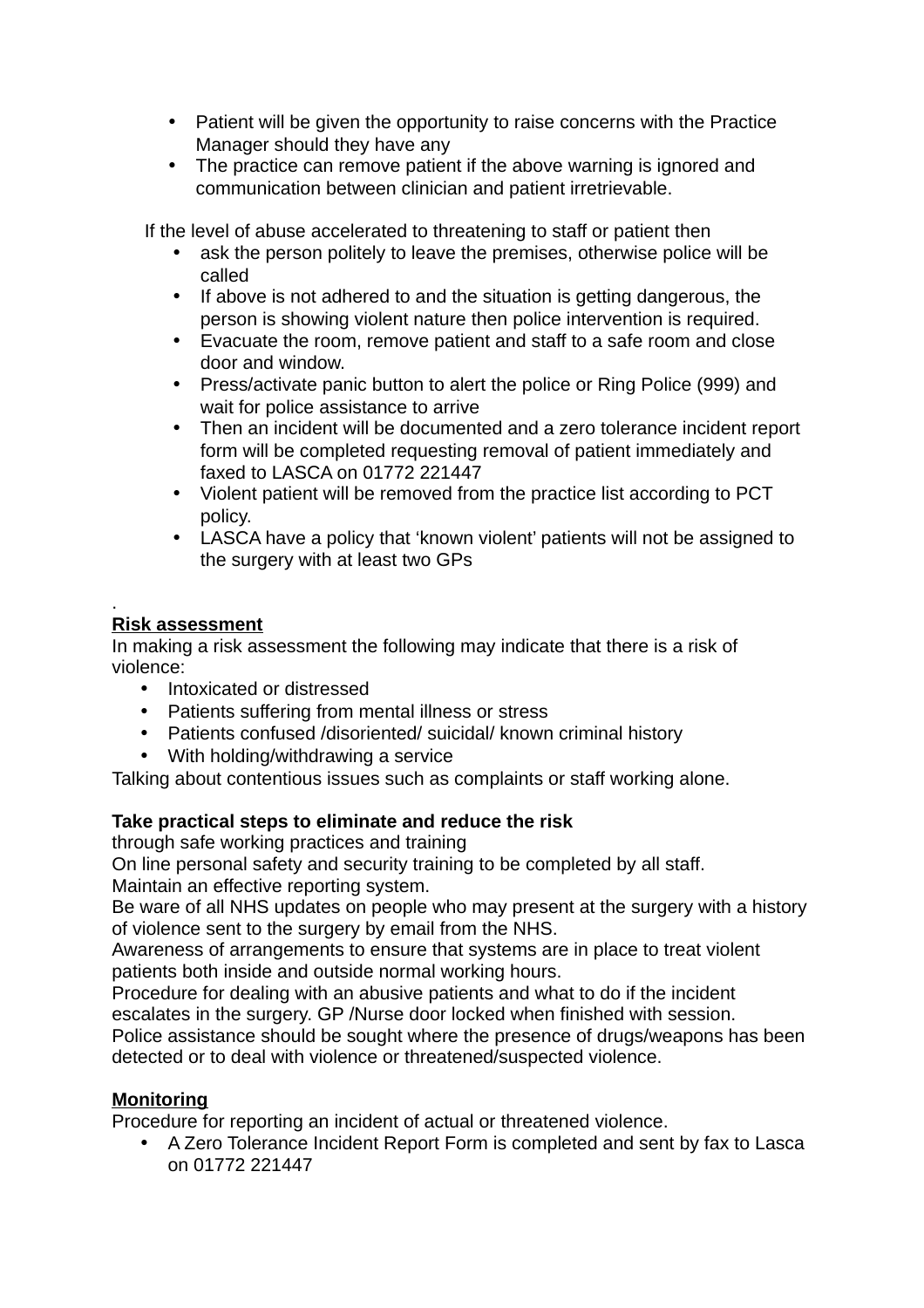- Patient will be given the opportunity to raise concerns with the Practice Manager should they have any
- The practice can remove patient if the above warning is ignored and communication between clinician and patient irretrievable.

If the level of abuse accelerated to threatening to staff or patient then

- ask the person politely to leave the premises, otherwise police will be called
- If above is not adhered to and the situation is getting dangerous, the person is showing violent nature then police intervention is required.
- Evacuate the room, remove patient and staff to a safe room and close door and window.
- Press/activate panic button to alert the police or Ring Police (999) and wait for police assistance to arrive
- Then an incident will be documented and a zero tolerance incident report form will be completed requesting removal of patient immediately and faxed to LASCA on 01772 221447
- Violent patient will be removed from the practice list according to PCT policy.
- LASCA have a policy that 'known violent' patients will not be assigned to the surgery with at least two GPs

#### . **Risk assessment**

In making a risk assessment the following may indicate that there is a risk of violence:

- Intoxicated or distressed
- Patients suffering from mental illness or stress
- Patients confused /disoriented/ suicidal/ known criminal history
- With holding/withdrawing a service

Talking about contentious issues such as complaints or staff working alone.

## **Take practical steps to eliminate and reduce the risk**

through safe working practices and training

On line personal safety and security training to be completed by all staff. Maintain an effective reporting system.

Be ware of all NHS updates on people who may present at the surgery with a history of violence sent to the surgery by email from the NHS.

Awareness of arrangements to ensure that systems are in place to treat violent patients both inside and outside normal working hours.

Procedure for dealing with an abusive patients and what to do if the incident escalates in the surgery. GP /Nurse door locked when finished with session.

Police assistance should be sought where the presence of drugs/weapons has been detected or to deal with violence or threatened/suspected violence.

## **Monitoring**

Procedure for reporting an incident of actual or threatened violence.

 A Zero Tolerance Incident Report Form is completed and sent by fax to Lasca on 01772 221447